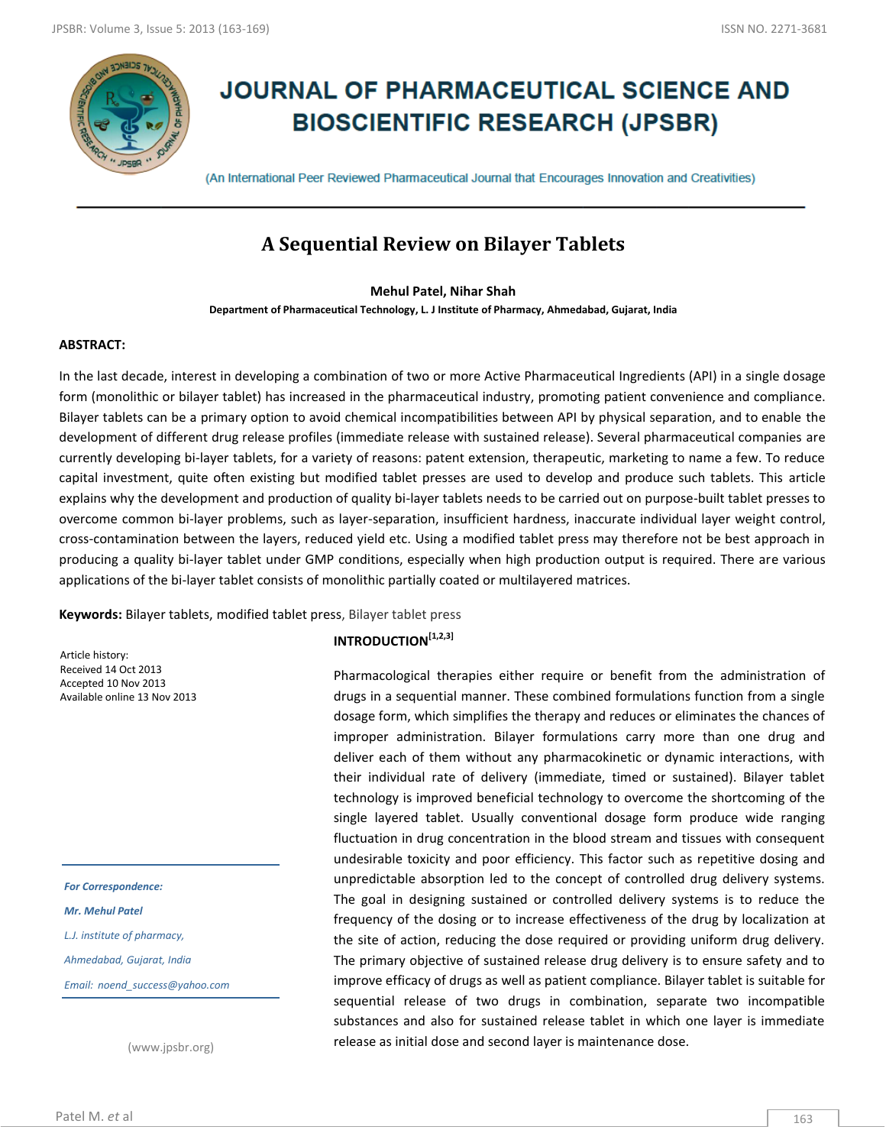

# **JOURNAL OF PHARMACEUTICAL SCIENCE AND BIOSCIENTIFIC RESEARCH (JPSBR)**

(An International Peer Reviewed Pharmaceutical Journal that Encourages Innovation and Creativities)

## **A Sequential Review on Bilayer Tablets**

#### **Mehul Patel, Nihar Shah**

**Department of Pharmaceutical Technology, L. J Institute of Pharmacy, Ahmedabad, Gujarat, India**

#### **ABSTRACT:**

In the last decade, interest in developing a combination of two or more Active Pharmaceutical Ingredients (API) in a single dosage form (monolithic or bilayer tablet) has increased in the pharmaceutical industry, promoting patient convenience and compliance. Bilayer tablets can be a primary option to avoid chemical incompatibilities between API by physical separation, and to enable the development of different drug release profiles (immediate release with sustained release). Several pharmaceutical companies are currently developing bi-layer tablets, for a variety of reasons: patent extension, therapeutic, marketing to name a few. To reduce capital investment, quite often existing but modified tablet presses are used to develop and produce such tablets. This article explains why the development and production of quality bi-layer tablets needs to be carried out on purpose-built tablet presses to overcome common bi-layer problems, such as layer-separation, insufficient hardness, inaccurate individual layer weight control, cross-contamination between the layers, reduced yield etc. Using a modified tablet press may therefore not be best approach in producing a quality bi-layer tablet under GMP conditions, especially when high production output is required. There are various applications of the bi-layer tablet consists of monolithic partially coated or multilayered matrices.

**Keywords:** Bilayer tablets, modified tablet press, Bilayer tablet press

Article history: Received 14 Oct 2013 Accepted 10 Nov 2013 Available online 13 Nov 2013

*For Correspondence: Mr. Mehul Patel L.J. institute of pharmacy, Ahmedabad, Gujarat, India Email: noend\_success@yahoo.com*

(www.jpsbr.org)

## **INTRODUCTION[1,2,3]**

Pharmacological therapies either require or benefit from the administration of drugs in a sequential manner. These combined formulations function from a single dosage form, which simplifies the therapy and reduces or eliminates the chances of improper administration. Bilayer formulations carry more than one drug and deliver each of them without any pharmacokinetic or dynamic interactions, with their individual rate of delivery (immediate, timed or sustained). Bilayer tablet technology is improved beneficial technology to overcome the shortcoming of the single layered tablet. Usually conventional dosage form produce wide ranging fluctuation in drug concentration in the blood stream and tissues with consequent undesirable toxicity and poor efficiency. This factor such as repetitive dosing and unpredictable absorption led to the concept of controlled drug delivery systems. The goal in designing sustained or controlled delivery systems is to reduce the frequency of the dosing or to increase effectiveness of the drug by localization at the site of action, reducing the dose required or providing uniform drug delivery. The primary objective of sustained release drug delivery is to ensure safety and to improve efficacy of drugs as well as patient compliance. Bilayer tablet is suitable for sequential release of two drugs in combination, separate two incompatible substances and also for sustained release tablet in which one layer is immediate release as initial dose and second layer is maintenance dose.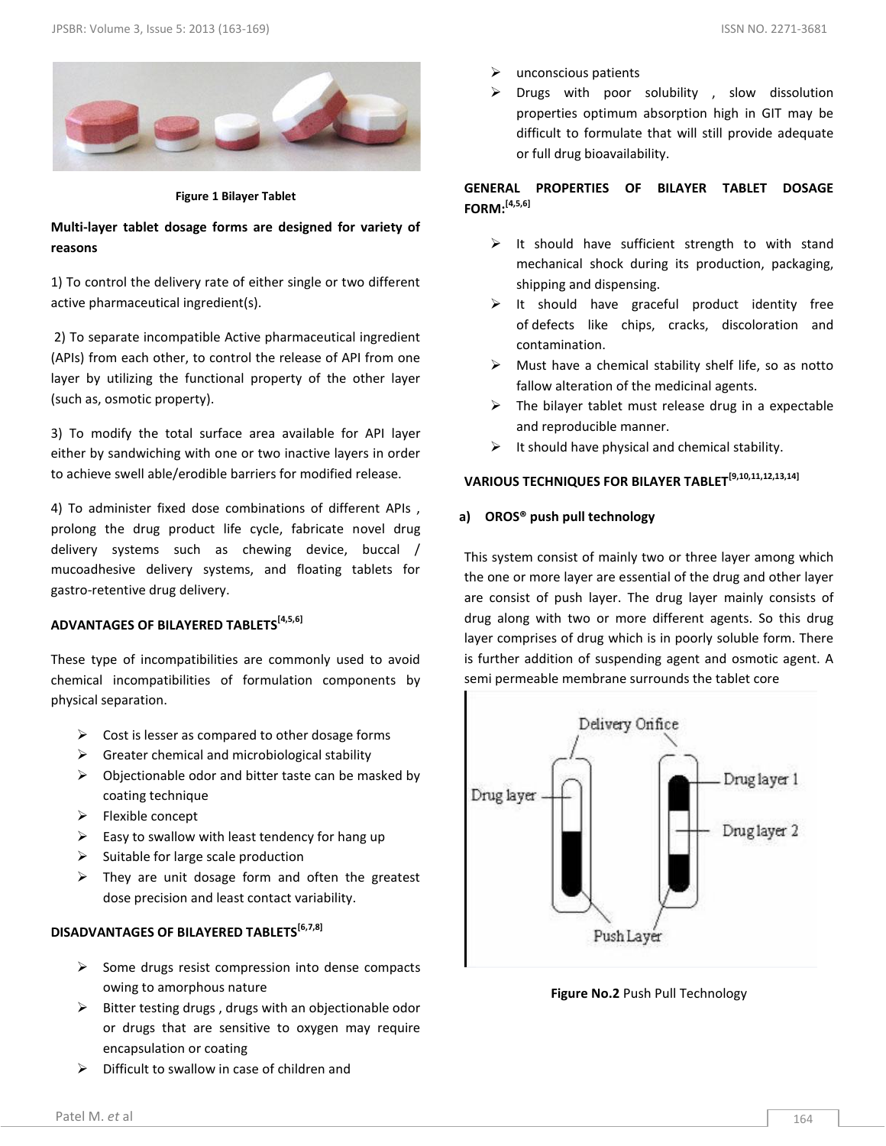

**Figure 1 Bilayer Tablet**

## **Multi-layer tablet dosage forms are designed for variety of reasons**

1) To control the delivery rate of either single or two different active pharmaceutical ingredient(s).

2) To separate incompatible Active pharmaceutical ingredient (APIs) from each other, to control the release of API from one layer by utilizing the functional property of the other layer (such as, osmotic property).

3) To modify the total surface area available for API layer either by sandwiching with one or two inactive layers in order to achieve swell able/erodible barriers for modified release.

4) To administer fixed dose combinations of different APIs , prolong the drug product life cycle, fabricate novel drug delivery systems such as chewing device, buccal / mucoadhesive delivery systems, and floating tablets for gastro-retentive drug delivery.

## **ADVANTAGES OF BILAYERED TABLETS[4,5,6]**

These type of incompatibilities are commonly used to avoid chemical incompatibilities of formulation components by physical separation.

- $\triangleright$  Cost is lesser as compared to other dosage forms
- $\triangleright$  Greater chemical and microbiological stability
- $\triangleright$  Objectionable odor and bitter taste can be masked by coating technique
- $\blacktriangleright$  Flexible concept
- $\triangleright$  Easy to swallow with least tendency for hang up
- $\triangleright$  Suitable for large scale production
- $\triangleright$  They are unit dosage form and often the greatest dose precision and least contact variability.

## **DISADVANTAGES OF BILAYERED TABLETS[6,7,8]**

- $\triangleright$  Some drugs resist compression into dense compacts owing to amorphous nature
- $\triangleright$  Bitter testing drugs, drugs with an objectionable odor or drugs that are sensitive to oxygen may require encapsulation or coating
- $\triangleright$  Difficult to swallow in case of children and
- unconscious patients
- Drugs with poor solubility , slow dissolution properties optimum absorption high in GIT may be difficult to formulate that will still provide adequate or full drug bioavailability.

### **GENERAL PROPERTIES OF BILAYER TABLET DOSAGE FORM:[4,5,6]**

- $\triangleright$  It should have sufficient strength to with stand mechanical shock during its production, packaging, shipping and dispensing.
- $\triangleright$  It should have graceful product identity free of defects like chips, cracks, discoloration and contamination.
- $\triangleright$  Must have a chemical stability shelf life, so as notto fallow alteration of the medicinal agents.
- $\triangleright$  The bilayer tablet must release drug in a expectable and reproducible manner.
- $\triangleright$  It should have physical and chemical stability.

## **VARIOUS TECHNIQUES FOR BILAYER TABLET[9,10,11,12,13,14]**

#### **a) OROS® push pull technology**

This system consist of mainly two or three layer among which the one or more layer are essential of the drug and other layer are consist of push layer. The drug layer mainly consists of drug along with two or more different agents. So this drug layer comprises of drug which is in poorly soluble form. There is further addition of suspending agent and osmotic agent. A semi permeable membrane surrounds the tablet core



**Figure No.2** Push Pull Technology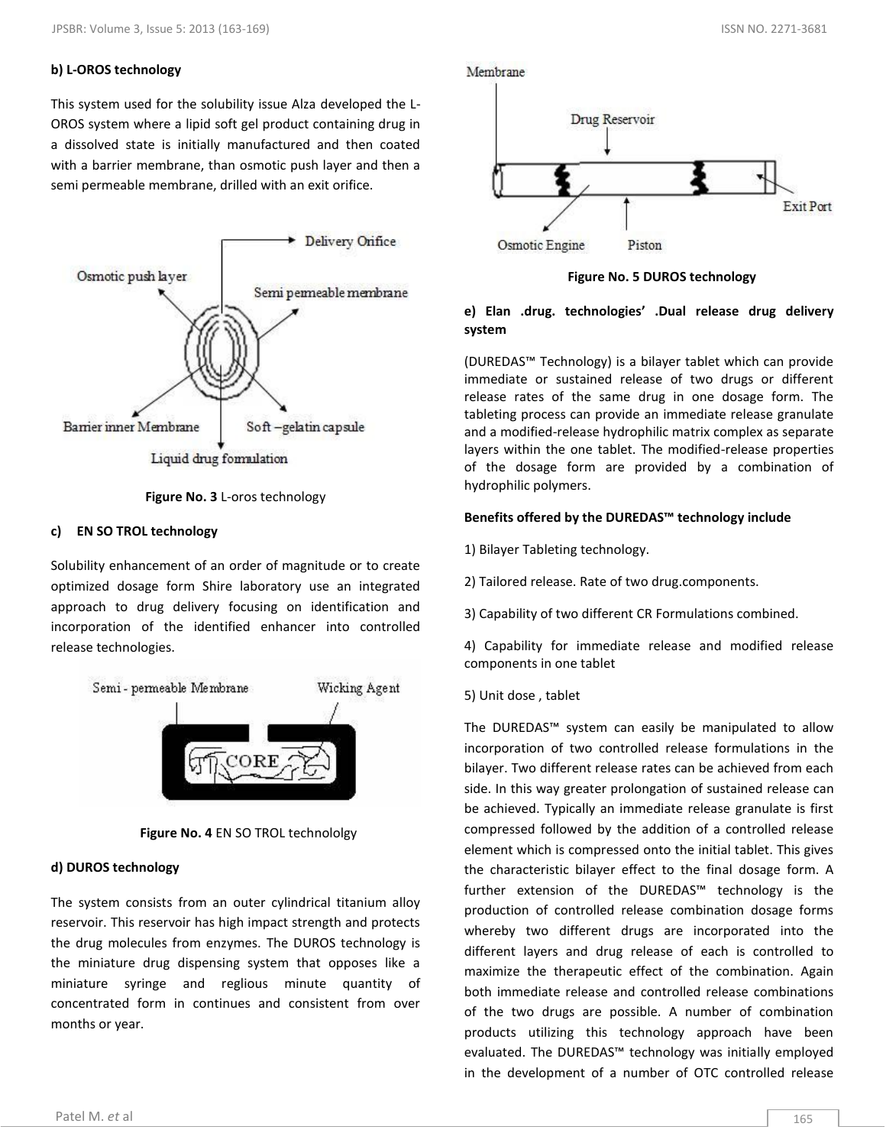#### **b) L-OROS technology**

This system used for the solubility issue Alza developed the L-OROS system where a lipid soft gel product containing drug in a dissolved state is initially manufactured and then coated with a barrier membrane, than osmotic push layer and then a semi permeable membrane, drilled with an exit orifice.



**Figure No. 3** L-oros technology

#### **c) EN SO TROL technology**

Solubility enhancement of an order of magnitude or to create optimized dosage form Shire laboratory use an integrated approach to drug delivery focusing on identification and incorporation of the identified enhancer into controlled release technologies.





## **d) DUROS technology**

The system consists from an outer cylindrical titanium alloy reservoir. This reservoir has high impact strength and protects the drug molecules from enzymes. The DUROS technology is the miniature drug dispensing system that opposes like a miniature syringe and reglious minute quantity of concentrated form in continues and consistent from over months or year.



**Figure No. 5 DUROS technology**

#### **e) Elan .drug. technologies' .Dual release drug delivery system**

(DUREDAS™ Technology) is a bilayer tablet which can provide immediate or sustained release of two drugs or different release rates of the same drug in one dosage form. The tableting process can provide an immediate release granulate and a modified-release hydrophilic matrix complex as separate layers within the one tablet. The modified-release properties of the dosage form are provided by a combination of hydrophilic polymers.

#### **Benefits offered by the DUREDAS™ technology include**

1) Bilayer Tableting technology.

- 2) Tailored release. Rate of two drug.components.
- 3) Capability of two different CR Formulations combined.

4) Capability for immediate release and modified release components in one tablet

5) Unit dose , tablet

The DUREDAS™ system can easily be manipulated to allow incorporation of two controlled release formulations in the bilayer. Two different release rates can be achieved from each side. In this way greater prolongation of sustained release can be achieved. Typically an immediate release granulate is first compressed followed by the addition of a controlled release element which is compressed onto the initial tablet. This gives the characteristic bilayer effect to the final dosage form. A further extension of the DUREDAS™ technology is the production of controlled release combination dosage forms whereby two different drugs are incorporated into the different layers and drug release of each is controlled to maximize the therapeutic effect of the combination. Again both immediate release and controlled release combinations of the two drugs are possible. A number of combination products utilizing this technology approach have been evaluated. The DUREDAS™ technology was initially employed in the development of a number of OTC controlled release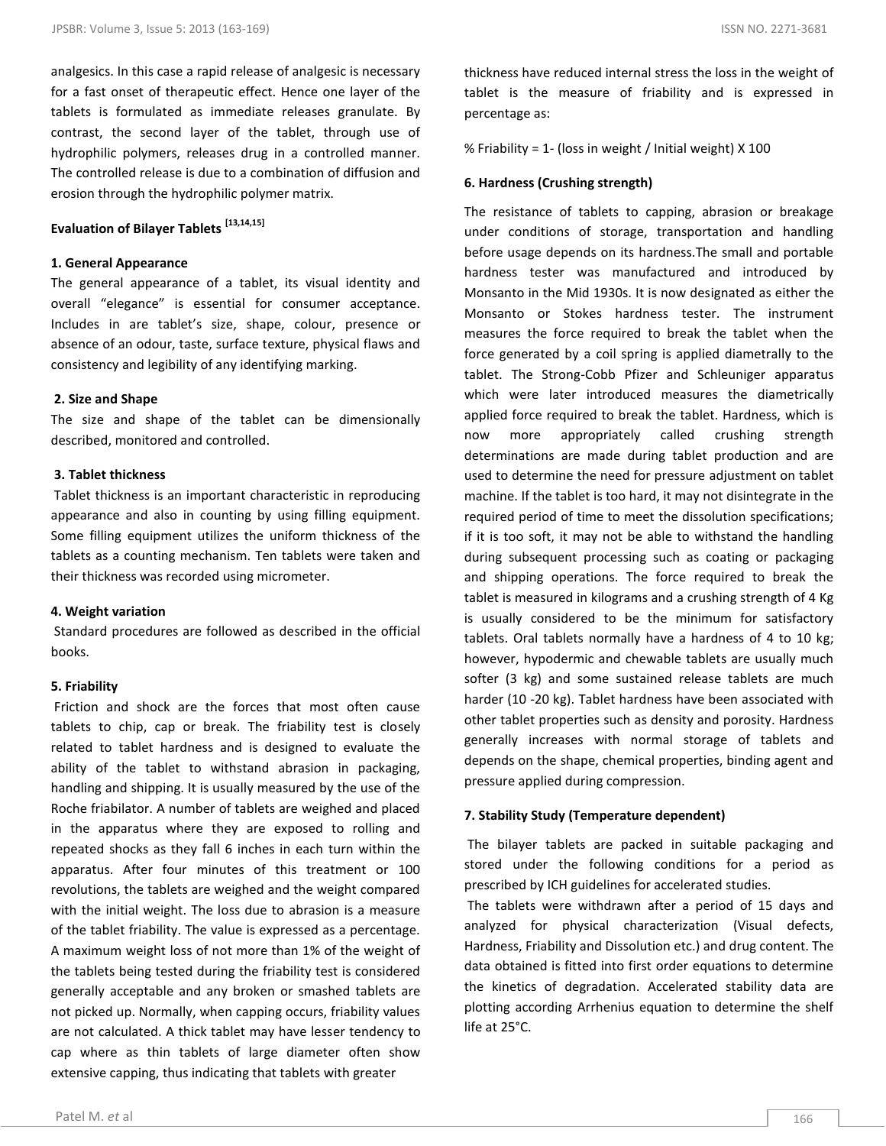analgesics. In this case a rapid release of analgesic is necessary for a fast onset of therapeutic effect. Hence one layer of the tablets is formulated as immediate releases granulate. By contrast, the second layer of the tablet, through use of hydrophilic polymers, releases drug in a controlled manner. The controlled release is due to a combination of diffusion and erosion through the hydrophilic polymer matrix.

## **Evaluation of Bilayer Tablets [13,14,15]**

#### **1. General Appearance**

The general appearance of a tablet, its visual identity and overall "elegance" is essential for consumer acceptance. Includes in are tablet's size, shape, colour, presence or absence of an odour, taste, surface texture, physical flaws and consistency and legibility of any identifying marking.

#### **2. Size and Shape**

The size and shape of the tablet can be dimensionally described, monitored and controlled.

#### **3. Tablet thickness**

Tablet thickness is an important characteristic in reproducing appearance and also in counting by using filling equipment. Some filling equipment utilizes the uniform thickness of the tablets as a counting mechanism. Ten tablets were taken and their thickness was recorded using micrometer.

#### **4. Weight variation**

Standard procedures are followed as described in the official books.

#### **5. Friability**

Friction and shock are the forces that most often cause tablets to chip, cap or break. The friability test is closely related to tablet hardness and is designed to evaluate the ability of the tablet to withstand abrasion in packaging, handling and shipping. It is usually measured by the use of the Roche friabilator. A number of tablets are weighed and placed in the apparatus where they are exposed to rolling and repeated shocks as they fall 6 inches in each turn within the apparatus. After four minutes of this treatment or 100 revolutions, the tablets are weighed and the weight compared with the initial weight. The loss due to abrasion is a measure of the tablet friability. The value is expressed as a percentage. A maximum weight loss of not more than 1% of the weight of the tablets being tested during the friability test is considered generally acceptable and any broken or smashed tablets are not picked up. Normally, when capping occurs, friability values are not calculated. A thick tablet may have lesser tendency to cap where as thin tablets of large diameter often show extensive capping, thus indicating that tablets with greater

thickness have reduced internal stress the loss in the weight of tablet is the measure of friability and is expressed in percentage as:

% Friability = 1‐ (loss in weight / Initial weight) X 100

#### **6. Hardness (Crushing strength)**

The resistance of tablets to capping, abrasion or breakage under conditions of storage, transportation and handling before usage depends on its hardness.The small and portable hardness tester was manufactured and introduced by Monsanto in the Mid 1930s. It is now designated as either the Monsanto or Stokes hardness tester. The instrument measures the force required to break the tablet when the force generated by a coil spring is applied diametrally to the tablet. The Strong-Cobb Pfizer and Schleuniger apparatus which were later introduced measures the diametrically applied force required to break the tablet. Hardness, which is now more appropriately called crushing strength determinations are made during tablet production and are used to determine the need for pressure adjustment on tablet machine. If the tablet is too hard, it may not disintegrate in the required period of time to meet the dissolution specifications; if it is too soft, it may not be able to withstand the handling during subsequent processing such as coating or packaging and shipping operations. The force required to break the tablet is measured in kilograms and a crushing strength of 4 Kg is usually considered to be the minimum for satisfactory tablets. Oral tablets normally have a hardness of 4 to 10 kg; however, hypodermic and chewable tablets are usually much softer (3 kg) and some sustained release tablets are much harder (10 -20 kg). Tablet hardness have been associated with other tablet properties such as density and porosity. Hardness generally increases with normal storage of tablets and depends on the shape, chemical properties, binding agent and pressure applied during compression.

#### **7. Stability Study (Temperature dependent)**

The bilayer tablets are packed in suitable packaging and stored under the following conditions for a period as prescribed by ICH guidelines for accelerated studies.

The tablets were withdrawn after a period of 15 days and analyzed for physical characterization (Visual defects, Hardness, Friability and Dissolution etc.) and drug content. The data obtained is fitted into first order equations to determine the kinetics of degradation. Accelerated stability data are plotting according Arrhenius equation to determine the shelf life at 25°C.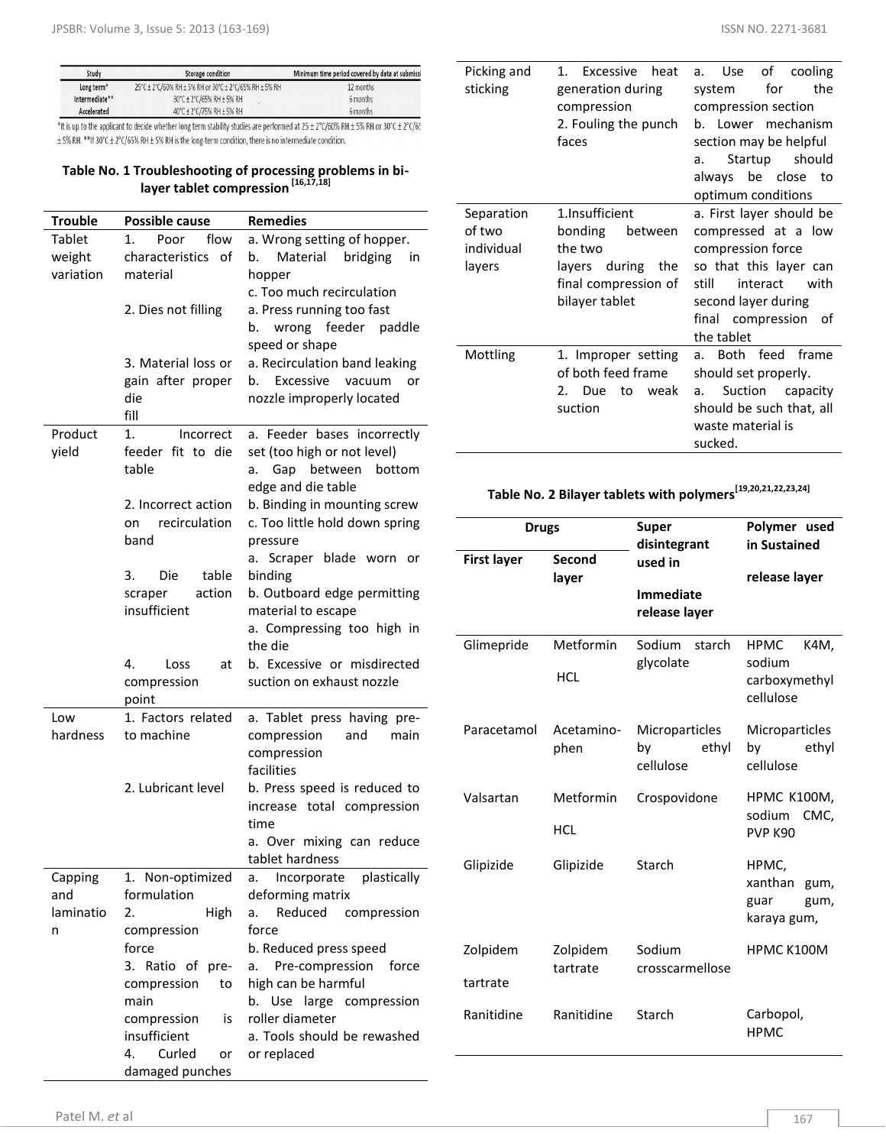| Study                  | Storage condition                                      | Minimum time period covered by data at submissi |
|------------------------|--------------------------------------------------------|-------------------------------------------------|
| Long term <sup>*</sup> | 25°C ± 2°C/60% RH ± 5% RH or 30°C ± 2°C/65% RH ± 5% RH | 12 months                                       |
| Intermediate**         | 30°C ± 2°C/65% RH ± 5% RH                              | 6 months                                        |
| Accelerated            | 40°C ± 2°C/75% RH ± 5% RH                              | 6 months                                        |

\*It is up to the applicant to decide whether long term stability studies are performed at 25 ± 2°C/60% RH ± 5% RH or 30°C ± 2°C/65  $\pm$  5% RH. \*\*If 30°C  $\pm$  2°C/65% RH  $\pm$  5% RH is the long-term condition, there is no intermediate condition.

#### **Table No. 1 Troubleshooting of processing problems in bilayer tablet compression [16,17,18]**

| <b>Trouble</b>          | <b>Possible cause</b>                              | <b>Remedies</b>                                                                                                 |
|-------------------------|----------------------------------------------------|-----------------------------------------------------------------------------------------------------------------|
| <b>Tablet</b><br>weight | flow<br>Poor<br>1.<br>characteristics<br>- of      | a. Wrong setting of hopper.<br>Material bridging<br>b.<br>in                                                    |
| variation               | material                                           | hopper<br>c. Too much recirculation                                                                             |
|                         | 2. Dies not filling                                | a. Press running too fast<br>wrong<br>feeder<br>paddle<br>b.<br>speed or shape                                  |
|                         | 3. Material loss or                                | a. Recirculation band leaking                                                                                   |
|                         | gain after proper<br>die                           | Excessive<br>vacuum<br>b.<br>or<br>nozzle improperly located                                                    |
|                         | fill                                               |                                                                                                                 |
| Product<br>yield        | 1.<br>Incorrect<br>feeder fit to die<br>table      | a. Feeder bases incorrectly<br>set (too high or not level)<br>Gap between<br>bottom<br>а.<br>edge and die table |
|                         | 2. Incorrect action<br>recirculation<br>on<br>band | b. Binding in mounting screw<br>c. Too little hold down spring<br>pressure<br>Scraper blade worn<br>а.          |
|                         | 3.<br>table<br>Die                                 | or<br>binding                                                                                                   |
|                         | action<br>scraper                                  | b. Outboard edge permitting                                                                                     |
|                         | insufficient                                       | material to escape                                                                                              |
|                         |                                                    | a. Compressing too high in<br>the die                                                                           |
|                         | 4.<br>Loss<br>at<br>compression<br>point           | b. Excessive or misdirected<br>suction on exhaust nozzle                                                        |
| Low                     | 1. Factors related                                 | a. Tablet press having pre-                                                                                     |
| hardness                | to machine                                         | compression<br>and<br>main<br>compression                                                                       |
|                         | 2. Lubricant level                                 | facilities<br>b. Press speed is reduced to                                                                      |
|                         |                                                    | increase total compression<br>time                                                                              |
|                         |                                                    | a. Over mixing can reduce<br>tablet hardness                                                                    |
| Capping                 | 1. Non-optimized                                   | Incorporate<br>plastically<br>a.                                                                                |
| and                     | formulation                                        | deforming matrix                                                                                                |
| laminatio<br>n          | 2.<br>High<br>compression                          | Reduced<br>compression<br>a.<br>force                                                                           |
|                         | force                                              | b. Reduced press speed                                                                                          |
|                         | 3. Ratio of pre-                                   | Pre-compression<br>force<br>a.                                                                                  |
|                         | compression<br>to                                  | high can be harmful                                                                                             |
|                         | main                                               | b.<br>Use large compression                                                                                     |
|                         | compression<br>is                                  | roller diameter                                                                                                 |
|                         | insufficient<br>Curled<br>4.<br>or                 | a. Tools should be rewashed<br>or replaced                                                                      |
|                         | damaged punches                                    |                                                                                                                 |

b. Lower mechanism section

| Picking and<br>sticking                      | Excessive<br>heat<br>1.<br>generation during<br>compression<br>2. Fouling the punch<br>faces                      | of<br>Use<br>cooling<br>a.<br>for<br>the<br>system<br>compression section<br>b. Lower mechanism<br>section may be helpful<br>should<br>Startup<br>a.<br>always be close to<br>optimum conditions |
|----------------------------------------------|-------------------------------------------------------------------------------------------------------------------|--------------------------------------------------------------------------------------------------------------------------------------------------------------------------------------------------|
| Separation<br>of two<br>individual<br>layers | 1.Insufficient<br>bonding<br>between<br>the two<br>layers during<br>the<br>final compression of<br>bilayer tablet | a. First layer should be<br>compressed at a low<br>compression force<br>so that this layer can<br>interact<br>with<br>still<br>second layer during<br>final compression<br>οf<br>the tablet      |
| Mottling                                     | 1. Improper setting<br>of both feed frame<br>2. Due<br>to<br>weak<br>suction                                      | Both feed frame<br>a.<br>should set properly.<br>Suction<br>capacity<br>a.<br>should be such that, all<br>waste material is<br>sucked.                                                           |

**Table No. 2 Bilayer tablets with polymers[19,20,21,22,23,24]**

| <b>Drugs</b>       |                         | <b>Super</b><br>disintegrant               | Polymer used<br>in Sustained                                |
|--------------------|-------------------------|--------------------------------------------|-------------------------------------------------------------|
| <b>First layer</b> | Second<br>layer         | used in                                    | release layer                                               |
|                    |                         | <b>Immediate</b><br>release layer          |                                                             |
| Glimepride         | Metformin<br><b>HCL</b> | Sodium<br>starch<br>glycolate              | <b>HPMC</b><br>K4M,<br>sodium<br>carboxymethyl<br>cellulose |
| Paracetamol        | Acetamino-<br>phen      | Microparticles<br>ethyl<br>bv<br>cellulose | Microparticles<br>bv<br>ethyl<br>cellulose                  |
| Valsartan          | Metformin<br><b>HCL</b> | Crospovidone                               | <b>HPMC K100M,</b><br>sodium<br>CMC.<br><b>PVP K90</b>      |
| Glipizide          | Glipizide               | Starch                                     | HPMC,<br>xanthan<br>gum,<br>guar<br>gum,<br>karaya gum,     |
| Zolpidem           | Zolpidem<br>tartrate    | Sodium<br>crosscarmellose                  | HPMC K100M                                                  |
| tartrate           |                         |                                            |                                                             |
| Ranitidine         | Ranitidine              | Starch                                     | Carbopol,<br><b>HPMC</b>                                    |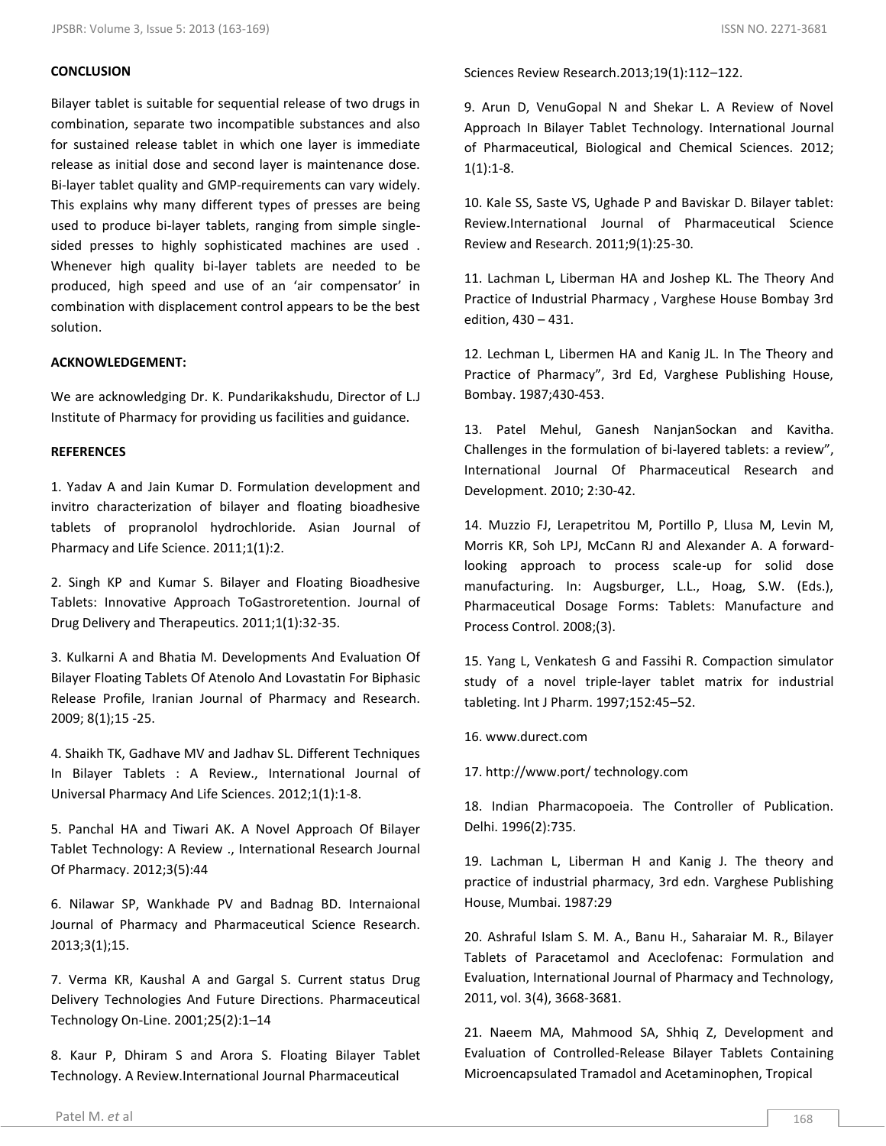## **CONCLUSION**

Bilayer tablet is suitable for sequential release of two drugs in combination, separate two incompatible substances and also for sustained release tablet in which one layer is immediate release as initial dose and second layer is maintenance dose. Bi-layer tablet quality and GMP-requirements can vary widely. This explains why many different types of presses are being used to produce bi-layer tablets, ranging from simple singlesided presses to highly sophisticated machines are used . Whenever high quality bi-layer tablets are needed to be produced, high speed and use of an 'air compensator' in combination with displacement control appears to be the best solution.

## **ACKNOWLEDGEMENT:**

We are acknowledging Dr. K. Pundarikakshudu, Director of L.J Institute of Pharmacy for providing us facilities and guidance.

## **REFERENCES**

1. Yadav A and Jain Kumar D. Formulation development and invitro characterization of bilayer and floating bioadhesive tablets of propranolol hydrochloride. Asian Journal of Pharmacy and Life Science. 2011;1(1):2.

2. Singh KP and Kumar S. Bilayer and Floating Bioadhesive Tablets: Innovative Approach ToGastroretention. Journal of Drug Delivery and Therapeutics. 2011;1(1):32-35.

3. Kulkarni A and Bhatia M. Developments And Evaluation Of Bilayer Floating Tablets Of Atenolo And Lovastatin For Biphasic Release Profile, Iranian Journal of Pharmacy and Research. 2009; 8(1);15 -25.

4. Shaikh TK, Gadhave MV and Jadhav SL. Different Techniques In Bilayer Tablets : A Review., International Journal of Universal Pharmacy And Life Sciences. 2012;1(1):1-8.

5. Panchal HA and Tiwari AK. A Novel Approach Of Bilayer Tablet Technology: A Review ., International Research Journal Of Pharmacy. 2012;3(5):44

6. Nilawar SP, Wankhade PV and Badnag BD. Internaional Journal of Pharmacy and Pharmaceutical Science Research. 2013;3(1);15.

7. Verma KR, Kaushal A and Gargal S. Current status Drug Delivery Technologies And Future Directions. Pharmaceutical Technology On-Line. 2001;25(2):1–14

8. Kaur P, Dhiram S and Arora S. Floating Bilayer Tablet Technology. A Review.International Journal Pharmaceutical

9. Arun D, VenuGopal N and Shekar L. A Review of Novel Approach In Bilayer Tablet Technology. International Journal of Pharmaceutical, Biological and Chemical Sciences. 2012;  $1(1):1-8.$ 

10. Kale SS, Saste VS, Ughade P and Baviskar D. Bilayer tablet: Review.International Journal of Pharmaceutical Science Review and Research. 2011;9(1):25-30.

11. Lachman L, Liberman HA and Joshep KL. The Theory And Practice of Industrial Pharmacy , Varghese House Bombay 3rd edition, 430 – 431.

12. Lechman L, Libermen HA and Kanig JL. In The Theory and Practice of Pharmacy", 3rd Ed, Varghese Publishing House, Bombay. 1987;430-453.

13. Patel Mehul, Ganesh NanjanSockan and Kavitha. Challenges in the formulation of bi-layered tablets: a review", International Journal Of Pharmaceutical Research and Development. 2010; 2:30-42.

14. Muzzio FJ, Lerapetritou M, Portillo P, Llusa M, Levin M, Morris KR, Soh LPJ, McCann RJ and Alexander A. A forwardlooking approach to process scale-up for solid dose manufacturing. In: Augsburger, L.L., Hoag, S.W. (Eds.), Pharmaceutical Dosage Forms: Tablets: Manufacture and Process Control. 2008;(3).

15. Yang L, Venkatesh G and Fassihi R. Compaction simulator study of a novel triple-layer tablet matrix for industrial tableting. Int J Pharm. 1997;152:45–52.

16. www.durect.com

17. http://www.port/ technology.com

18. Indian Pharmacopoeia. The Controller of Publication. Delhi. 1996(2):735.

19. Lachman L, Liberman H and Kanig J. The theory and practice of industrial pharmacy, 3rd edn. Varghese Publishing House, Mumbai. 1987:29

20. Ashraful Islam S. M. A., Banu H., Saharaiar M. R., Bilayer Tablets of Paracetamol and Aceclofenac: Formulation and Evaluation, International Journal of Pharmacy and Technology, 2011, vol. 3(4), 3668-3681.

21. Naeem MA, Mahmood SA, Shhiq Z, Development and Evaluation of Controlled-Release Bilayer Tablets Containing Microencapsulated Tramadol and Acetaminophen, Tropical